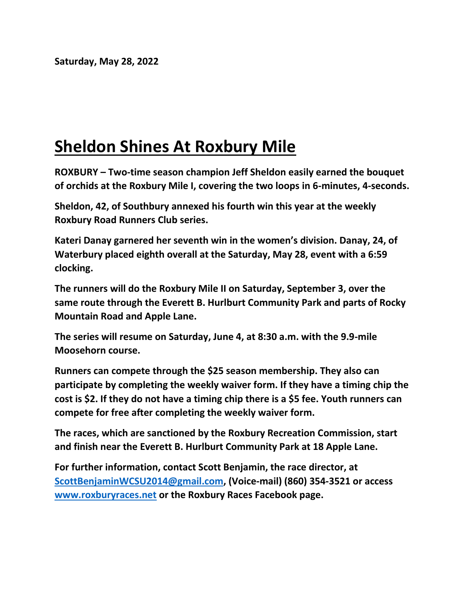## **Sheldon Shines At Roxbury Mile**

**ROXBURY – Two-time season champion Jeff Sheldon easily earned the bouquet of orchids at the Roxbury Mile I, covering the two loops in 6-minutes, 4-seconds.**

**Sheldon, 42, of Southbury annexed his fourth win this year at the weekly Roxbury Road Runners Club series.**

**Kateri Danay garnered her seventh win in the women's division. Danay, 24, of Waterbury placed eighth overall at the Saturday, May 28, event with a 6:59 clocking.**

**The runners will do the Roxbury Mile II on Saturday, September 3, over the same route through the Everett B. Hurlburt Community Park and parts of Rocky Mountain Road and Apple Lane.**

**The series will resume on Saturday, June 4, at 8:30 a.m. with the 9.9-mile Moosehorn course.**

**Runners can compete through the \$25 season membership. They also can participate by completing the weekly waiver form. If they have a timing chip the cost is \$2. If they do not have a timing chip there is a \$5 fee. Youth runners can compete for free after completing the weekly waiver form.**

**The races, which are sanctioned by the Roxbury Recreation Commission, start and finish near the Everett B. Hurlburt Community Park at 18 Apple Lane.**

**For further information, contact Scott Benjamin, the race director, at [ScottBenjaminWCSU2014@gmail.com,](mailto:ScottBenjaminWCSU2014@gmail.com) (Voice-mail) (860) 354-3521 or access [www.roxburyraces.net](http://www.roxburyraces.net/) or the Roxbury Races Facebook page.**